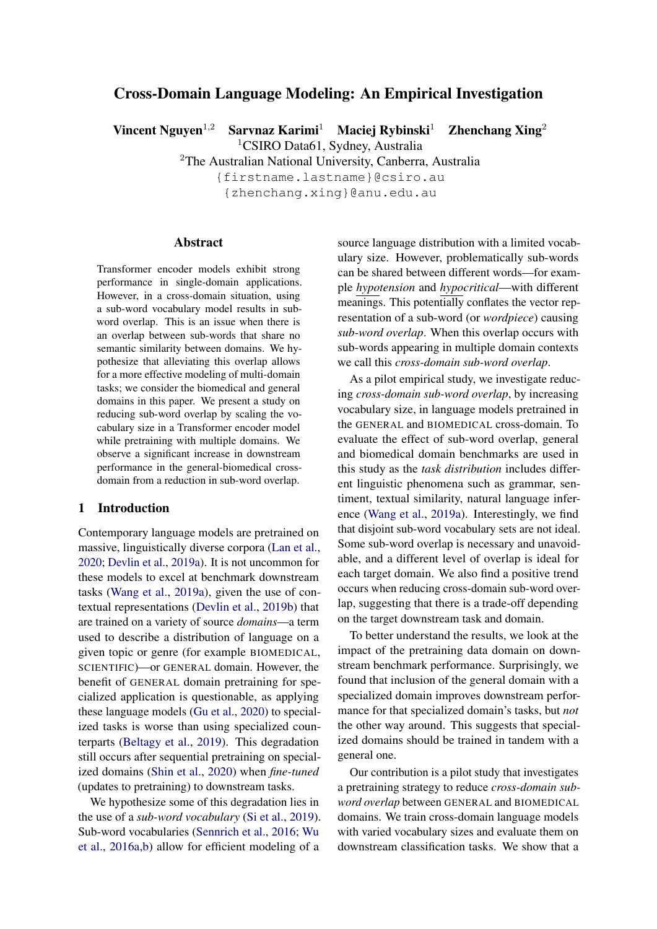# Cross-Domain Language Modeling: An Empirical Investigation

Vincent Nguyen<sup>1,2</sup> Sarvnaz Karimi<sup>1</sup> Maciej Rybinski<sup>1</sup> Zhenchang Xing<sup>2</sup>

<sup>1</sup>CSIRO Data61, Sydney, Australia

<sup>2</sup>The Australian National University, Canberra, Australia

{firstname.lastname}@csiro.au {zhenchang.xing}@anu.edu.au

#### Abstract

Transformer encoder models exhibit strong performance in single-domain applications. However, in a cross-domain situation, using a sub-word vocabulary model results in subword overlap. This is an issue when there is an overlap between sub-words that share no semantic similarity between domains. We hypothesize that alleviating this overlap allows for a more effective modeling of multi-domain tasks; we consider the biomedical and general domains in this paper. We present a study on reducing sub-word overlap by scaling the vocabulary size in a Transformer encoder model while pretraining with multiple domains. We observe a significant increase in downstream performance in the general-biomedical crossdomain from a reduction in sub-word overlap.

#### 1 Introduction

Contemporary language models are pretrained on massive, linguistically diverse corpora [\(Lan et al.,](#page-5-0) [2020;](#page-5-0) [Devlin et al.,](#page-5-1) [2019a\)](#page-5-1). It is not uncommon for these models to excel at benchmark downstream tasks [\(Wang et al.,](#page-6-0) [2019a\)](#page-6-0), given the use of contextual representations [\(Devlin et al.,](#page-5-2) [2019b\)](#page-5-2) that are trained on a variety of source *domains*—a term used to describe a distribution of language on a given topic or genre (for example BIOMEDICAL, SCIENTIFIC)—or GENERAL domain. However, the benefit of GENERAL domain pretraining for specialized application is questionable, as applying these language models [\(Gu et al.,](#page-5-3) [2020\)](#page-5-3) to specialized tasks is worse than using specialized counterparts [\(Beltagy et al.,](#page-4-0) [2019\)](#page-4-0). This degradation still occurs after sequential pretraining on specialized domains [\(Shin et al.,](#page-5-4) [2020\)](#page-5-4) when *fine-tuned* (updates to pretraining) to downstream tasks.

We hypothesize some of this degradation lies in the use of a *sub-word vocabulary* [\(Si et al.,](#page-5-5) [2019\)](#page-5-5). Sub-word vocabularies [\(Sennrich et al.,](#page-5-6) [2016;](#page-5-6) [Wu](#page-6-1) [et al.,](#page-6-1) [2016a,](#page-6-1)[b\)](#page-6-2) allow for efficient modeling of a

source language distribution with a limited vocabulary size. However, problematically sub-words can be shared between different words—for example *hypotension* and *hypocritical*—with different meanings. This potentially conflates the vector representation of a sub-word (or *wordpiece*) causing *sub-word overlap*. When this overlap occurs with sub-words appearing in multiple domain contexts we call this *cross-domain sub-word overlap*.

As a pilot empirical study, we investigate reducing *cross-domain sub-word overlap*, by increasing vocabulary size, in language models pretrained in the GENERAL and BIOMEDICAL cross-domain. To evaluate the effect of sub-word overlap, general and biomedical domain benchmarks are used in this study as the *task distribution* includes different linguistic phenomena such as grammar, sentiment, textual similarity, natural language inference [\(Wang et al.,](#page-6-0) [2019a\)](#page-6-0). Interestingly, we find that disjoint sub-word vocabulary sets are not ideal. Some sub-word overlap is necessary and unavoidable, and a different level of overlap is ideal for each target domain. We also find a positive trend occurs when reducing cross-domain sub-word overlap, suggesting that there is a trade-off depending on the target downstream task and domain.

To better understand the results, we look at the impact of the pretraining data domain on downstream benchmark performance. Surprisingly, we found that inclusion of the general domain with a specialized domain improves downstream performance for that specialized domain's tasks, but *not* the other way around. This suggests that specialized domains should be trained in tandem with a general one.

Our contribution is a pilot study that investigates a pretraining strategy to reduce *cross-domain subword overlap* between GENERAL and BIOMEDICAL domains. We train cross-domain language models with varied vocabulary sizes and evaluate them on downstream classification tasks. We show that a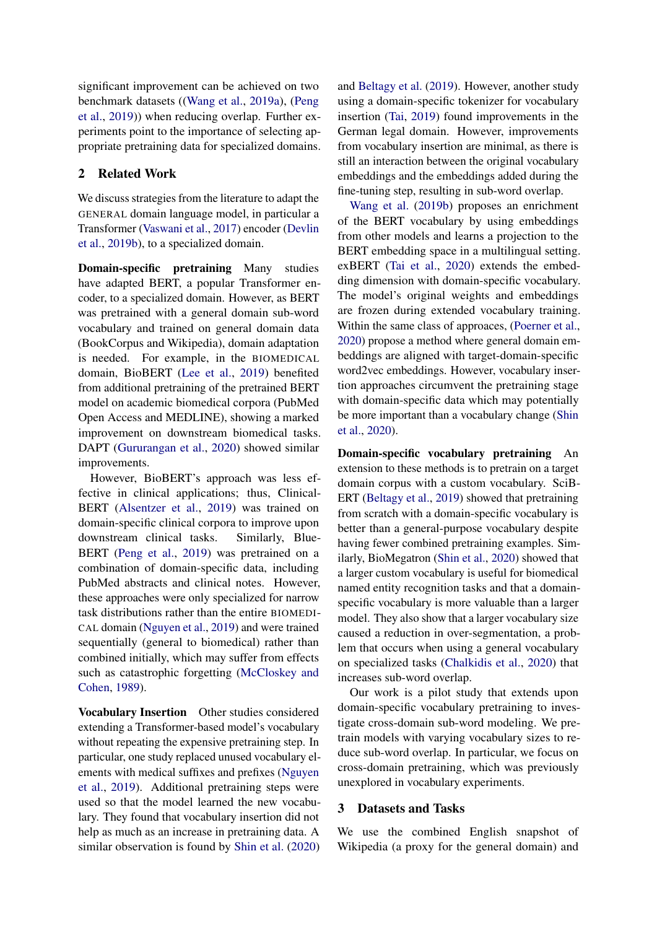significant improvement can be achieved on two benchmark datasets ([\(Wang et al.,](#page-6-0) [2019a\)](#page-6-0), [\(Peng](#page-5-7) [et al.,](#page-5-7) [2019\)](#page-5-7)) when reducing overlap. Further experiments point to the importance of selecting appropriate pretraining data for specialized domains.

## 2 Related Work

We discuss strategies from the literature to adapt the GENERAL domain language model, in particular a Transformer [\(Vaswani et al.,](#page-6-3) [2017\)](#page-6-3) encoder [\(Devlin](#page-5-2) [et al.,](#page-5-2) [2019b\)](#page-5-2), to a specialized domain.

Domain-specific pretraining Many studies have adapted BERT, a popular Transformer encoder, to a specialized domain. However, as BERT was pretrained with a general domain sub-word vocabulary and trained on general domain data (BookCorpus and Wikipedia), domain adaptation is needed. For example, in the BIOMEDICAL domain, BioBERT [\(Lee et al.,](#page-5-8) [2019\)](#page-5-8) benefited from additional pretraining of the pretrained BERT model on academic biomedical corpora (PubMed Open Access and MEDLINE), showing a marked improvement on downstream biomedical tasks. DAPT [\(Gururangan et al.,](#page-5-9) [2020\)](#page-5-9) showed similar improvements.

However, BioBERT's approach was less effective in clinical applications; thus, Clinical-BERT [\(Alsentzer et al.,](#page-4-1) [2019\)](#page-4-1) was trained on domain-specific clinical corpora to improve upon downstream clinical tasks. Similarly, Blue-BERT [\(Peng et al.,](#page-5-7) [2019\)](#page-5-7) was pretrained on a combination of domain-specific data, including PubMed abstracts and clinical notes. However, these approaches were only specialized for narrow task distributions rather than the entire BIOMEDI-CAL domain [\(Nguyen et al.,](#page-5-10) [2019\)](#page-5-10) and were trained sequentially (general to biomedical) rather than combined initially, which may suffer from effects such as catastrophic forgetting [\(McCloskey and](#page-5-11) [Cohen,](#page-5-11) [1989\)](#page-5-11).

Vocabulary Insertion Other studies considered extending a Transformer-based model's vocabulary without repeating the expensive pretraining step. In particular, one study replaced unused vocabulary elements with medical suffixes and prefixes [\(Nguyen](#page-5-10) [et al.,](#page-5-10) [2019\)](#page-5-10). Additional pretraining steps were used so that the model learned the new vocabulary. They found that vocabulary insertion did not help as much as an increase in pretraining data. A similar observation is found by [Shin et al.](#page-5-4) [\(2020\)](#page-5-4)

and [Beltagy et al.](#page-4-0) [\(2019\)](#page-4-0). However, another study using a domain-specific tokenizer for vocabulary insertion [\(Tai,](#page-5-12) [2019\)](#page-5-12) found improvements in the German legal domain. However, improvements from vocabulary insertion are minimal, as there is still an interaction between the original vocabulary embeddings and the embeddings added during the fine-tuning step, resulting in sub-word overlap.

[Wang et al.](#page-6-4) [\(2019b\)](#page-6-4) proposes an enrichment of the BERT vocabulary by using embeddings from other models and learns a projection to the BERT embedding space in a multilingual setting. exBERT [\(Tai et al.,](#page-6-5) [2020\)](#page-6-5) extends the embedding dimension with domain-specific vocabulary. The model's original weights and embeddings are frozen during extended vocabulary training. Within the same class of approaces, [\(Poerner et al.,](#page-5-13) [2020\)](#page-5-13) propose a method where general domain embeddings are aligned with target-domain-specific word2vec embeddings. However, vocabulary insertion approaches circumvent the pretraining stage with domain-specific data which may potentially be more important than a vocabulary change [\(Shin](#page-5-4) [et al.,](#page-5-4) [2020\)](#page-5-4).

Domain-specific vocabulary pretraining An extension to these methods is to pretrain on a target domain corpus with a custom vocabulary. SciB-ERT [\(Beltagy et al.,](#page-4-0) [2019\)](#page-4-0) showed that pretraining from scratch with a domain-specific vocabulary is better than a general-purpose vocabulary despite having fewer combined pretraining examples. Similarly, BioMegatron [\(Shin et al.,](#page-5-4) [2020\)](#page-5-4) showed that a larger custom vocabulary is useful for biomedical named entity recognition tasks and that a domainspecific vocabulary is more valuable than a larger model. They also show that a larger vocabulary size caused a reduction in over-segmentation, a problem that occurs when using a general vocabulary on specialized tasks [\(Chalkidis et al.,](#page-4-2) [2020\)](#page-4-2) that increases sub-word overlap.

Our work is a pilot study that extends upon domain-specific vocabulary pretraining to investigate cross-domain sub-word modeling. We pretrain models with varying vocabulary sizes to reduce sub-word overlap. In particular, we focus on cross-domain pretraining, which was previously unexplored in vocabulary experiments.

#### 3 Datasets and Tasks

We use the combined English snapshot of Wikipedia (a proxy for the general domain) and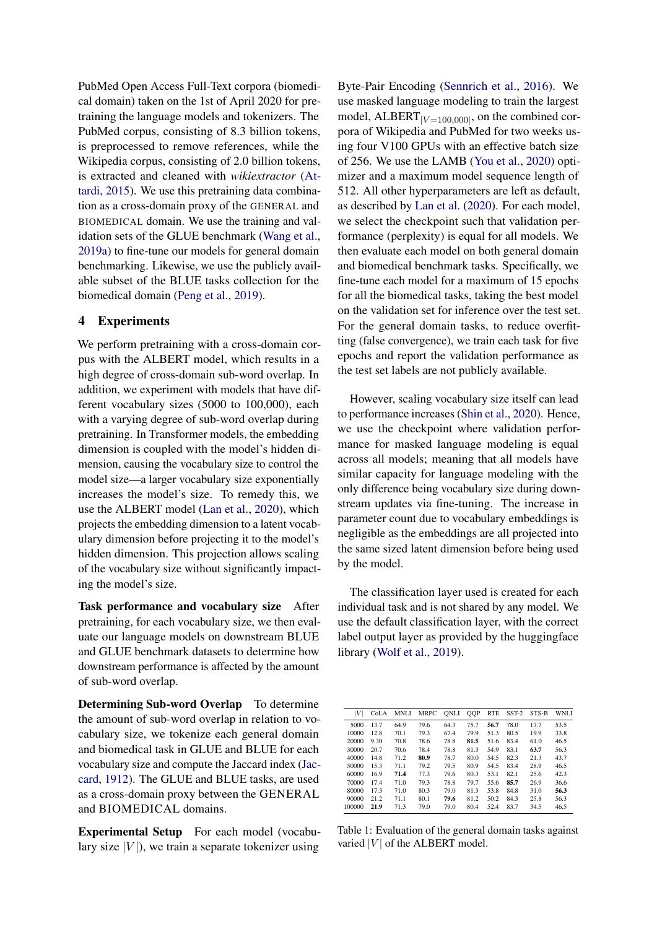PubMed Open Access Full-Text corpora (biomedical domain) taken on the 1st of April 2020 for pretraining the language models and tokenizers. The PubMed corpus, consisting of 8.3 billion tokens, is preprocessed to remove references, while the Wikipedia corpus, consisting of 2.0 billion tokens, is extracted and cleaned with *wikiextractor* [\(At](#page-4-3)[tardi,](#page-4-3) [2015\)](#page-4-3). We use this pretraining data combination as a cross-domain proxy of the GENERAL and BIOMEDICAL domain. We use the training and validation sets of the GLUE benchmark [\(Wang et al.,](#page-6-0) [2019a\)](#page-6-0) to fine-tune our models for general domain benchmarking. Likewise, we use the publicly available subset of the BLUE tasks collection for the biomedical domain [\(Peng et al.,](#page-5-7) [2019\)](#page-5-7).

### 4 Experiments

We perform pretraining with a cross-domain corpus with the ALBERT model, which results in a high degree of cross-domain sub-word overlap. In addition, we experiment with models that have different vocabulary sizes (5000 to 100,000), each with a varying degree of sub-word overlap during pretraining. In Transformer models, the embedding dimension is coupled with the model's hidden dimension, causing the vocabulary size to control the model size—a larger vocabulary size exponentially increases the model's size. To remedy this, we use the ALBERT model [\(Lan et al.,](#page-5-0) [2020\)](#page-5-0), which projects the embedding dimension to a latent vocabulary dimension before projecting it to the model's hidden dimension. This projection allows scaling of the vocabulary size without significantly impacting the model's size.

Task performance and vocabulary size After pretraining, for each vocabulary size, we then evaluate our language models on downstream BLUE and GLUE benchmark datasets to determine how downstream performance is affected by the amount of sub-word overlap.

Determining Sub-word Overlap To determine the amount of sub-word overlap in relation to vocabulary size, we tokenize each general domain and biomedical task in GLUE and BLUE for each vocabulary size and compute the Jaccard index [\(Jac](#page-5-14)[card,](#page-5-14) [1912\)](#page-5-14). The GLUE and BLUE tasks, are used as a cross-domain proxy between the GENERAL and BIOMEDICAL domains.

Experimental Setup For each model (vocabulary size  $|V|$ ), we train a separate tokenizer using

Byte-Pair Encoding [\(Sennrich et al.,](#page-5-6) [2016\)](#page-5-6). We use masked language modeling to train the largest model,  $ALBERT_{|V=100,000|}$ , on the combined corpora of Wikipedia and PubMed for two weeks using four V100 GPUs with an effective batch size of 256. We use the LAMB [\(You et al.,](#page-6-6) [2020\)](#page-6-6) optimizer and a maximum model sequence length of 512. All other hyperparameters are left as default, as described by [Lan et al.](#page-5-0) [\(2020\)](#page-5-0). For each model, we select the checkpoint such that validation performance (perplexity) is equal for all models. We then evaluate each model on both general domain and biomedical benchmark tasks. Specifically, we fine-tune each model for a maximum of 15 epochs for all the biomedical tasks, taking the best model on the validation set for inference over the test set. For the general domain tasks, to reduce overfitting (false convergence), we train each task for five epochs and report the validation performance as the test set labels are not publicly available.

However, scaling vocabulary size itself can lead to performance increases [\(Shin et al.,](#page-5-4) [2020\)](#page-5-4). Hence, we use the checkpoint where validation performance for masked language modeling is equal across all models; meaning that all models have similar capacity for language modeling with the only difference being vocabulary size during downstream updates via fine-tuning. The increase in parameter count due to vocabulary embeddings is negligible as the embeddings are all projected into the same sized latent dimension before being used by the model.

The classification layer used is created for each individual task and is not shared by any model. We use the default classification layer, with the correct label output layer as provided by the huggingface library [\(Wolf et al.,](#page-6-7) [2019\)](#page-6-7).

<span id="page-2-0"></span>

| V      | CoLA | <b>MNLI</b> | <b>MRPC</b> | ONLI | <b>OOP</b> | <b>RTE</b> | $SST-2$ | STS-B | <b>WNLI</b> |
|--------|------|-------------|-------------|------|------------|------------|---------|-------|-------------|
| 5000   | 13.7 | 64.9        | 79.6        | 64.3 | 75.7       | 56.7       | 78.0    | 17.7  | 53.5        |
| 10000  | 12.8 | 70.1        | 79.3        | 67.4 | 79.9       | 51.3       | 80.5    | 19.9  | 33.8        |
| 20000  | 9.30 | 70.8        | 78.6        | 78.8 | 81.5       | 51.6       | 83.4    | 61.0  | 46.5        |
| 30000  | 20.7 | 70.6        | 78.4        | 78.8 | 81.3       | 54.9       | 83.1    | 63.7  | 56.3        |
| 40000  | 14.8 | 71.2        | 80.9        | 78.7 | 80.0       | 54.5       | 82.3    | 21.3  | 43.7        |
| 50000  | 15.3 | 71.1        | 79.2        | 79.5 | 80.9       | 54.5       | 83.4    | 28.9  | 46.5        |
| 60000  | 16.9 | 71.4        | 77.3        | 79.6 | 80.3       | 53.1       | 82.1    | 25.6  | 42.3        |
| 70000  | 17.4 | 71.0        | 79.3        | 78.8 | 79.7       | 55.6       | 85.7    | 26.9  | 36.6        |
| 80000  | 17.3 | 71.0        | 80.3        | 79.0 | 81.3       | 53.8       | 84.8    | 31.0  | 56.3        |
| 90000  | 21.2 | 71.1        | 80.1        | 79.6 | 81.2       | 50.2       | 84.3    | 25.8  | 56.3        |
| 100000 | 21.9 | 71.3        | 79.0        | 79.0 | 80.4       | 52.4       | 83.7    | 34.5  | 46.5        |

Table 1: Evaluation of the general domain tasks against varied  $|V|$  of the ALBERT model.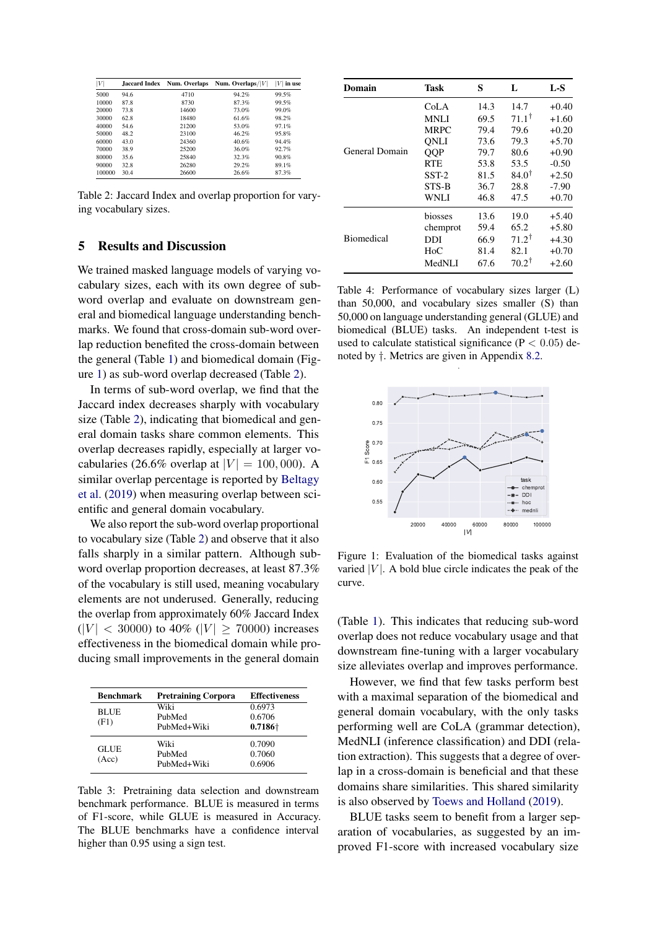<span id="page-3-1"></span>

| V      | Jaccard Index | Num. Overlaps | Num. Overlaps/ $ V $ | V<br>in use |
|--------|---------------|---------------|----------------------|-------------|
| 5000   | 94.6          | 4710          | 94.2%                | 99.5%       |
| 10000  | 87.8          | 8730          | 87.3%                | 99.5%       |
| 20000  | 73.8          | 14600         | 73.0%                | 99.0%       |
| 30000  | 62.8          | 18480         | 61.6%                | 98.2%       |
| 40000  | 54.6          | 21200         | 53.0%                | 97.1%       |
| 50000  | 48.2          | 23100         | 46.2%                | 95.8%       |
| 60000  | 43.0          | 24360         | 40.6%                | 94.4%       |
| 70000  | 38.9          | 25200         | 36.0%                | 92.7%       |
| 80000  | 35.6          | 25840         | 32.3%                | 90.8%       |
| 90000  | 32.8          | 26280         | 29.2%                | 89.1%       |
| 100000 | 30.4          | 26600         | 26.6%                | 87.3%       |

Table 2: Jaccard Index and overlap proportion for varying vocabulary sizes.

## 5 Results and Discussion

We trained masked language models of varying vocabulary sizes, each with its own degree of subword overlap and evaluate on downstream general and biomedical language understanding benchmarks. We found that cross-domain sub-word overlap reduction benefited the cross-domain between the general (Table [1\)](#page-2-0) and biomedical domain (Figure [1\)](#page-3-0) as sub-word overlap decreased (Table [2\)](#page-3-1).

In terms of sub-word overlap, we find that the Jaccard index decreases sharply with vocabulary size (Table [2\)](#page-3-1), indicating that biomedical and general domain tasks share common elements. This overlap decreases rapidly, especially at larger vocabularies (26.6% overlap at  $|V| = 100,000$ ). A similar overlap percentage is reported by [Beltagy](#page-4-0) [et al.](#page-4-0) [\(2019\)](#page-4-0) when measuring overlap between scientific and general domain vocabulary.

We also report the sub-word overlap proportional to vocabulary size (Table [2\)](#page-3-1) and observe that it also falls sharply in a similar pattern. Although subword overlap proportion decreases, at least 87.3% of the vocabulary is still used, meaning vocabulary elements are not underused. Generally, reducing the overlap from approximately 60% Jaccard Index  $(|V| < 30000)$  to 40%  $(|V| \ge 70000)$  increases effectiveness in the biomedical domain while producing small improvements in the general domain

<span id="page-3-2"></span>

| <b>Benchmark</b>     | <b>Pretraining Corpora</b>    | <b>Effectiveness</b>                |
|----------------------|-------------------------------|-------------------------------------|
| <b>BLUE</b><br>(F1)  | Wiki<br>PubMed<br>PubMed+Wiki | 0.6973<br>0.6706<br>$0.7186\dagger$ |
| <b>GLUE</b><br>(Acc) | Wiki<br>PubMed<br>PubMed+Wiki | 0.7090<br>0.7060<br>0.6906          |

Table 3: Pretraining data selection and downstream benchmark performance. BLUE is measured in terms of F1-score, while GLUE is measured in Accuracy. The BLUE benchmarks have a confidence interval higher than 0.95 using a sign test.

<span id="page-3-3"></span>

| Domain            | Task          | S    | L                | $L-S$   |
|-------------------|---------------|------|------------------|---------|
|                   | CoLA          | 14.3 | 14.7             | $+0.40$ |
|                   | <b>MNLI</b>   | 69.5 | $71.1^{\dagger}$ | $+1.60$ |
|                   | <b>MRPC</b>   | 79.4 | 79.6             | $+0.20$ |
|                   | <b>ONLI</b>   | 73.6 | 79.3             | $+5.70$ |
| General Domain    | QQP           | 79.7 | 80.6             | $+0.90$ |
|                   | <b>RTE</b>    | 53.8 | 53.5             | $-0.50$ |
|                   | $SST-2$       | 81.5 | $84.0^{\dagger}$ | $+2.50$ |
|                   | STS-B         | 36.7 | 28.8             | $-7.90$ |
|                   | <b>WNLI</b>   | 46.8 | 47.5             | $+0.70$ |
|                   | biosses       | 13.6 | 19.0             | $+5.40$ |
|                   | chemprot      | 59.4 | 65.2             | $+5.80$ |
| <b>Biomedical</b> | DDI           | 66.9 | $71.2^{\dagger}$ | $+4.30$ |
|                   | $H_0C$        | 81.4 | 82.1             | $+0.70$ |
|                   | <b>MedNLI</b> | 67.6 | $70.2^{\dagger}$ | $+2.60$ |

Table 4: Performance of vocabulary sizes larger (L) than 50,000, and vocabulary sizes smaller (S) than 50,000 on language understanding general (GLUE) and biomedical (BLUE) tasks. An independent t-test is used to calculate statistical significance ( $P < 0.05$ ) denoted by †. Metrics are given in Appendix [8.2.](#page-7-0)

.

<span id="page-3-0"></span>

Figure 1: Evaluation of the biomedical tasks against varied  $|V|$ . A bold blue circle indicates the peak of the curve.

(Table [1\)](#page-2-0). This indicates that reducing sub-word overlap does not reduce vocabulary usage and that downstream fine-tuning with a larger vocabulary size alleviates overlap and improves performance.

However, we find that few tasks perform best with a maximal separation of the biomedical and general domain vocabulary, with the only tasks performing well are CoLA (grammar detection), MedNLI (inference classification) and DDI (relation extraction). This suggests that a degree of overlap in a cross-domain is beneficial and that these domains share similarities. This shared similarity is also observed by [Toews and Holland](#page-6-8) [\(2019\)](#page-6-8).

BLUE tasks seem to benefit from a larger separation of vocabularies, as suggested by an improved F1-score with increased vocabulary size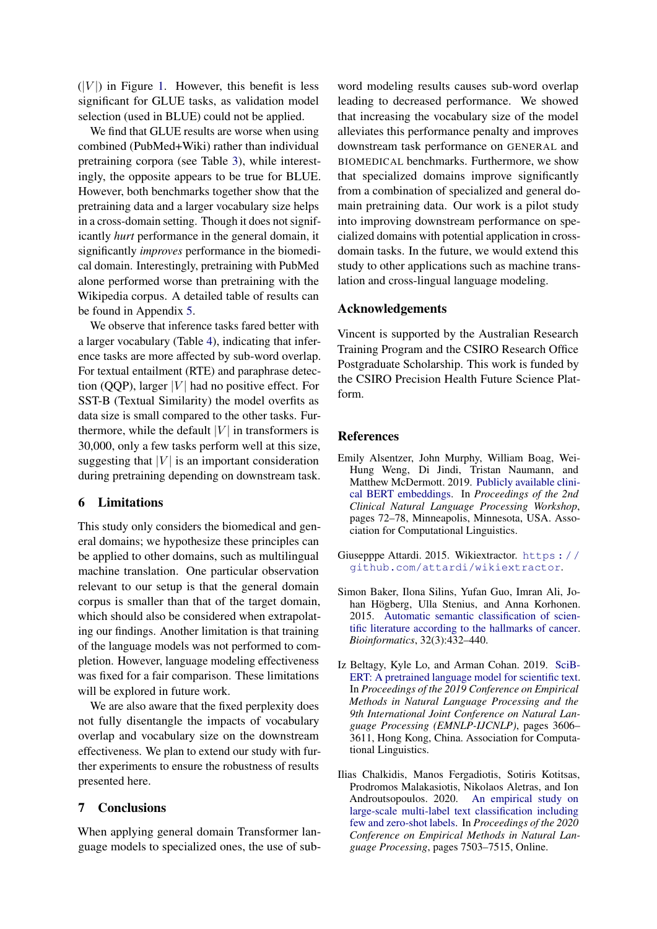$(|V|)$  in Figure [1.](#page-3-0) However, this benefit is less significant for GLUE tasks, as validation model selection (used in BLUE) could not be applied.

We find that GLUE results are worse when using combined (PubMed+Wiki) rather than individual pretraining corpora (see Table [3\)](#page-3-2), while interestingly, the opposite appears to be true for BLUE. However, both benchmarks together show that the pretraining data and a larger vocabulary size helps in a cross-domain setting. Though it does not significantly *hurt* performance in the general domain, it significantly *improves* performance in the biomedical domain. Interestingly, pretraining with PubMed alone performed worse than pretraining with the Wikipedia corpus. A detailed table of results can be found in Appendix [5.](#page-7-1)

We observe that inference tasks fared better with a larger vocabulary (Table [4\)](#page-3-3), indicating that inference tasks are more affected by sub-word overlap. For textual entailment (RTE) and paraphrase detection (QQP), larger  $|V|$  had no positive effect. For SST-B (Textual Similarity) the model overfits as data size is small compared to the other tasks. Furthermore, while the default  $|V|$  in transformers is 30,000, only a few tasks perform well at this size, suggesting that  $|V|$  is an important consideration during pretraining depending on downstream task.

## 6 Limitations

This study only considers the biomedical and general domains; we hypothesize these principles can be applied to other domains, such as multilingual machine translation. One particular observation relevant to our setup is that the general domain corpus is smaller than that of the target domain, which should also be considered when extrapolating our findings. Another limitation is that training of the language models was not performed to completion. However, language modeling effectiveness was fixed for a fair comparison. These limitations will be explored in future work.

We are also aware that the fixed perplexity does not fully disentangle the impacts of vocabulary overlap and vocabulary size on the downstream effectiveness. We plan to extend our study with further experiments to ensure the robustness of results presented here.

### 7 Conclusions

When applying general domain Transformer language models to specialized ones, the use of subword modeling results causes sub-word overlap leading to decreased performance. We showed that increasing the vocabulary size of the model alleviates this performance penalty and improves downstream task performance on GENERAL and BIOMEDICAL benchmarks. Furthermore, we show that specialized domains improve significantly from a combination of specialized and general domain pretraining data. Our work is a pilot study into improving downstream performance on specialized domains with potential application in crossdomain tasks. In the future, we would extend this study to other applications such as machine translation and cross-lingual language modeling.

#### Acknowledgements

Vincent is supported by the Australian Research Training Program and the CSIRO Research Office Postgraduate Scholarship. This work is funded by the CSIRO Precision Health Future Science Platform.

### References

- <span id="page-4-1"></span>Emily Alsentzer, John Murphy, William Boag, Wei-Hung Weng, Di Jindi, Tristan Naumann, and Matthew McDermott. 2019. [Publicly available clini](https://doi.org/10.18653/v1/W19-1909)[cal BERT embeddings.](https://doi.org/10.18653/v1/W19-1909) In *Proceedings of the 2nd Clinical Natural Language Processing Workshop*, pages 72–78, Minneapolis, Minnesota, USA. Association for Computational Linguistics.
- <span id="page-4-3"></span>Giusepppe Attardi. 2015. Wikiextractor. [https : / /](https://github.com/attardi/wikiextractor) [github.com/attardi/wikiextractor](https://github.com/attardi/wikiextractor).
- <span id="page-4-4"></span>Simon Baker, Ilona Silins, Yufan Guo, Imran Ali, Johan Högberg, Ulla Stenius, and Anna Korhonen. 2015. [Automatic semantic classification of scien](https://doi.org/10.1093/bioinformatics/btv585)[tific literature according to the hallmarks of cancer.](https://doi.org/10.1093/bioinformatics/btv585) *Bioinformatics*, 32(3):432–440.
- <span id="page-4-0"></span>Iz Beltagy, Kyle Lo, and Arman Cohan. 2019. [SciB-](https://doi.org/10.18653/v1/D19-1371)[ERT: A pretrained language model for scientific text.](https://doi.org/10.18653/v1/D19-1371) In *Proceedings of the 2019 Conference on Empirical Methods in Natural Language Processing and the 9th International Joint Conference on Natural Language Processing (EMNLP-IJCNLP)*, pages 3606– 3611, Hong Kong, China. Association for Computational Linguistics.
- <span id="page-4-2"></span>Ilias Chalkidis, Manos Fergadiotis, Sotiris Kotitsas, Prodromos Malakasiotis, Nikolaos Aletras, and Ion Androutsopoulos. 2020. [An empirical study on](https://doi.org/10.18653/v1/2020.emnlp-main.607) [large-scale multi-label text classification including](https://doi.org/10.18653/v1/2020.emnlp-main.607) [few and zero-shot labels.](https://doi.org/10.18653/v1/2020.emnlp-main.607) In *Proceedings of the 2020 Conference on Empirical Methods in Natural Language Processing*, pages 7503–7515, Online.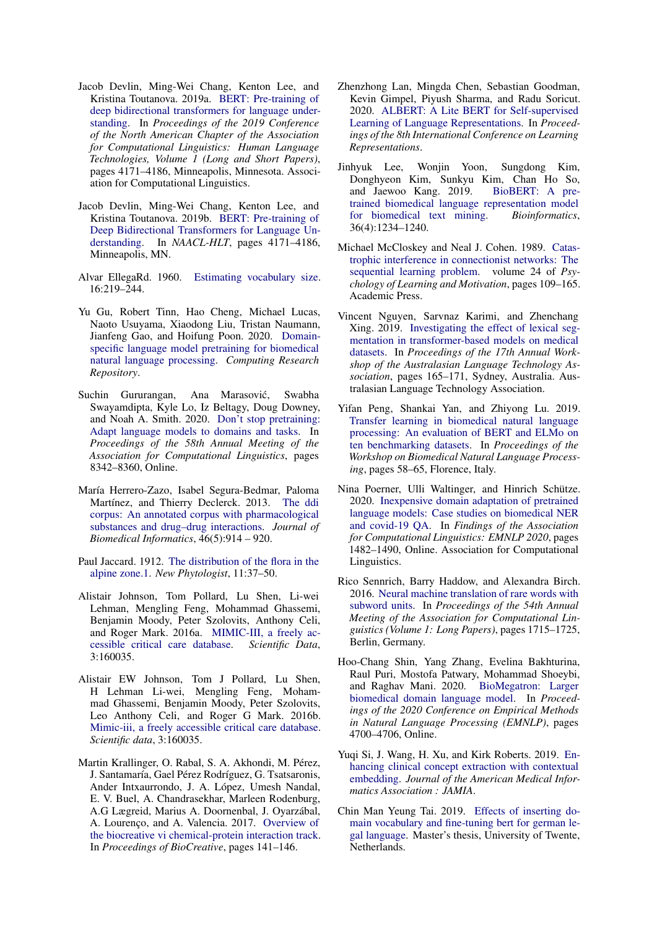- <span id="page-5-1"></span>Jacob Devlin, Ming-Wei Chang, Kenton Lee, and Kristina Toutanova. 2019a. [BERT: Pre-training of](https://doi.org/10.18653/v1/N19-1423) [deep bidirectional transformers for language under](https://doi.org/10.18653/v1/N19-1423)[standing.](https://doi.org/10.18653/v1/N19-1423) In *Proceedings of the 2019 Conference of the North American Chapter of the Association for Computational Linguistics: Human Language Technologies, Volume 1 (Long and Short Papers)*, pages 4171–4186, Minneapolis, Minnesota. Association for Computational Linguistics.
- <span id="page-5-2"></span>Jacob Devlin, Ming-Wei Chang, Kenton Lee, and Kristina Toutanova. 2019b. [BERT: Pre-training of](https://www.aclweb.org/anthology/N19-1423.pdf) [Deep Bidirectional Transformers for Language Un](https://www.aclweb.org/anthology/N19-1423.pdf)[derstanding.](https://www.aclweb.org/anthology/N19-1423.pdf) In *NAACL-HLT*, pages 4171–4186, Minneapolis, MN.
- <span id="page-5-15"></span>Alvar EllegaRd. 1960. [Estimating vocabulary size.](https://doi.org/10.1080/00437956.1960.11659728) 16:219–244.
- <span id="page-5-3"></span>Yu Gu, Robert Tinn, Hao Cheng, Michael Lucas, Naoto Usuyama, Xiaodong Liu, Tristan Naumann, Jianfeng Gao, and Hoifung Poon. 2020. [Domain](http://arxiv.org/abs/2007.15779)[specific language model pretraining for biomedical](http://arxiv.org/abs/2007.15779) [natural language processing.](http://arxiv.org/abs/2007.15779) *Computing Research Repository*.
- <span id="page-5-9"></span>Suchin Gururangan, Ana Marasović, Swabha Swayamdipta, Kyle Lo, Iz Beltagy, Doug Downey, and Noah A. Smith. 2020. [Don't stop pretraining:](https://doi.org/10.18653/v1/2020.acl-main.740) [Adapt language models to domains and tasks.](https://doi.org/10.18653/v1/2020.acl-main.740) In *Proceedings of the 58th Annual Meeting of the Association for Computational Linguistics*, pages 8342–8360, Online.
- <span id="page-5-16"></span>María Herrero-Zazo, Isabel Segura-Bedmar, Paloma Martínez, and Thierry Declerck. 2013. [The ddi](https://doi.org/https://doi.org/10.1016/j.jbi.2013.07.011) [corpus: An annotated corpus with pharmacological](https://doi.org/https://doi.org/10.1016/j.jbi.2013.07.011) [substances and drug–drug interactions.](https://doi.org/https://doi.org/10.1016/j.jbi.2013.07.011) *Journal of Biomedical Informatics*, 46(5):914 – 920.
- <span id="page-5-14"></span>Paul Jaccard. 1912. [The distribution of the flora in the](https://nph.onlinelibrary.wiley.com/doi/abs/10.1111/j.1469-8137.1912.tb05611.x) [alpine zone.1.](https://nph.onlinelibrary.wiley.com/doi/abs/10.1111/j.1469-8137.1912.tb05611.x) *New Phytologist*, 11:37–50.
- <span id="page-5-18"></span>Alistair Johnson, Tom Pollard, Lu Shen, Li-wei Lehman, Mengling Feng, Mohammad Ghassemi, Benjamin Moody, Peter Szolovits, Anthony Celi, and Roger Mark. 2016a. [MIMIC-III, a freely ac](https://doi.org/10.1038/sdata.2016.35)[cessible critical care database.](https://doi.org/10.1038/sdata.2016.35) *Scientific Data*, 3:160035.
- <span id="page-5-19"></span>Alistair EW Johnson, Tom J Pollard, Lu Shen, H Lehman Li-wei, Mengling Feng, Mohammad Ghassemi, Benjamin Moody, Peter Szolovits, Leo Anthony Celi, and Roger G Mark. 2016b. [Mimic-iii, a freely accessible critical care database.](https://www.nature.com/articles/sdata201635) *Scientific data*, 3:160035.
- <span id="page-5-17"></span>Martin Krallinger, O. Rabal, S. A. Akhondi, M. Pérez, J. Santamaría, Gael Pérez Rodríguez, G. Tsatsaronis, Ander Intxaurrondo, J. A. López, Umesh Nandal, E. V. Buel, A. Chandrasekhar, Marleen Rodenburg, A.G Lægreid, Marius A. Doornenbal, J. Oyarzábal, A. Lourenço, and A. Valencia. 2017. [Overview of](https://biocreative.bioinformatics.udel.edu/media/store/files/2017/chemprot_overview_v03.pdf) [the biocreative vi chemical-protein interaction track.](https://biocreative.bioinformatics.udel.edu/media/store/files/2017/chemprot_overview_v03.pdf) In *Proceedings of BioCreative*, pages 141–146.
- <span id="page-5-0"></span>Zhenzhong Lan, Mingda Chen, Sebastian Goodman, Kevin Gimpel, Piyush Sharma, and Radu Soricut. 2020. [ALBERT: A Lite BERT for Self-supervised](https://arxiv.org/pdf/1909.11942) [Learning of Language Representations.](https://arxiv.org/pdf/1909.11942) In *Proceedings of the 8th International Conference on Learning Representations*.
- <span id="page-5-8"></span>Jinhyuk Lee, Wonjin Yoon, Sungdong Kim, Donghyeon Kim, Sunkyu Kim, Chan Ho So, and Jaewoo Kang. 2019. [BioBERT: A pre](https://arxiv.org/abs/1901.08746)[trained biomedical language representation model](https://arxiv.org/abs/1901.08746) [for biomedical text mining.](https://arxiv.org/abs/1901.08746) *Bioinformatics*, 36(4):1234–1240.
- <span id="page-5-11"></span>Michael McCloskey and Neal J. Cohen. 1989. [Catas](https://doi.org/https://doi.org/10.1016/S0079-7421(08)60536-8)[trophic interference in connectionist networks: The](https://doi.org/https://doi.org/10.1016/S0079-7421(08)60536-8) [sequential learning problem.](https://doi.org/https://doi.org/10.1016/S0079-7421(08)60536-8) volume 24 of *Psychology of Learning and Motivation*, pages 109–165. Academic Press.
- <span id="page-5-10"></span>Vincent Nguyen, Sarvnaz Karimi, and Zhenchang Xing. 2019. [Investigating the effect of lexical seg](https://www.aclweb.org/anthology/U19-1022)[mentation in transformer-based models on medical](https://www.aclweb.org/anthology/U19-1022) [datasets.](https://www.aclweb.org/anthology/U19-1022) In *Proceedings of the 17th Annual Workshop of the Australasian Language Technology Association*, pages 165–171, Sydney, Australia. Australasian Language Technology Association.
- <span id="page-5-7"></span>Yifan Peng, Shankai Yan, and Zhiyong Lu. 2019. [Transfer learning in biomedical natural language](https://arxiv.org/pdf/1906.05474) [processing: An evaluation of BERT and ELMo on](https://arxiv.org/pdf/1906.05474) [ten benchmarking datasets.](https://arxiv.org/pdf/1906.05474) In *Proceedings of the Workshop on Biomedical Natural Language Processing*, pages 58–65, Florence, Italy.
- <span id="page-5-13"></span>Nina Poerner, Ulli Waltinger, and Hinrich Schütze. 2020. [Inexpensive domain adaptation of pretrained](https://doi.org/10.18653/v1/2020.findings-emnlp.134) [language models: Case studies on biomedical NER](https://doi.org/10.18653/v1/2020.findings-emnlp.134) [and covid-19 QA.](https://doi.org/10.18653/v1/2020.findings-emnlp.134) In *Findings of the Association for Computational Linguistics: EMNLP 2020*, pages 1482–1490, Online. Association for Computational Linguistics.
- <span id="page-5-6"></span>Rico Sennrich, Barry Haddow, and Alexandra Birch. 2016. [Neural machine translation of rare words with](https://doi.org/10.18653/v1/P16-1162) [subword units.](https://doi.org/10.18653/v1/P16-1162) In *Proceedings of the 54th Annual Meeting of the Association for Computational Linguistics (Volume 1: Long Papers)*, pages 1715–1725, Berlin, Germany.
- <span id="page-5-4"></span>Hoo-Chang Shin, Yang Zhang, Evelina Bakhturina, Raul Puri, Mostofa Patwary, Mohammad Shoeybi, and Raghav Mani. 2020. [BioMegatron: Larger](https://doi.org/10.18653/v1/2020.emnlp-main.379) [biomedical domain language model.](https://doi.org/10.18653/v1/2020.emnlp-main.379) In *Proceedings of the 2020 Conference on Empirical Methods in Natural Language Processing (EMNLP)*, pages 4700–4706, Online.
- <span id="page-5-5"></span>Yuqi Si, J. Wang, H. Xu, and Kirk Roberts. 2019. [En](https://arxiv.org/pdf/1902.08691.pdf)[hancing clinical concept extraction with contextual](https://arxiv.org/pdf/1902.08691.pdf) [embedding.](https://arxiv.org/pdf/1902.08691.pdf) *Journal of the American Medical Informatics Association : JAMIA*.
- <span id="page-5-12"></span>Chin Man Yeung Tai. 2019. [Effects of inserting do](https://essay.utwente.nl/80128/)[main vocabulary and fine-tuning bert for german le](https://essay.utwente.nl/80128/)[gal language.](https://essay.utwente.nl/80128/) Master's thesis, University of Twente, Netherlands.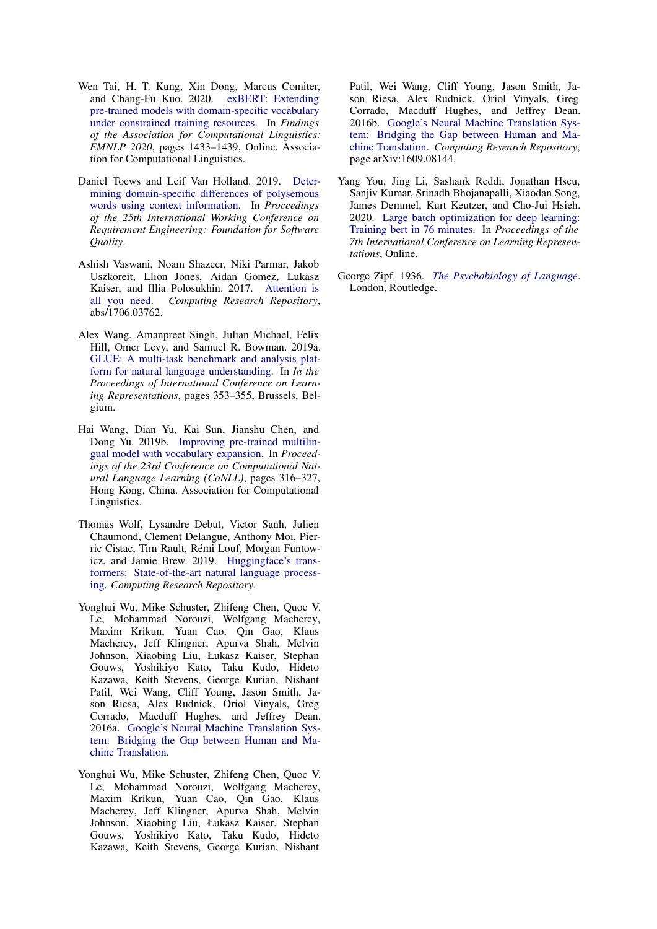- <span id="page-6-5"></span>Wen Tai, H. T. Kung, Xin Dong, Marcus Comiter, and Chang-Fu Kuo. 2020. [exBERT: Extending](https://doi.org/10.18653/v1/2020.findings-emnlp.129) [pre-trained models with domain-specific vocabulary](https://doi.org/10.18653/v1/2020.findings-emnlp.129) [under constrained training resources.](https://doi.org/10.18653/v1/2020.findings-emnlp.129) In *Findings of the Association for Computational Linguistics: EMNLP 2020*, pages 1433–1439, Online. Association for Computational Linguistics.
- <span id="page-6-8"></span>Daniel Toews and Leif Van Holland. 2019. [Deter](http://ceur-ws.org/Vol-2376/NLP4RE19_paper02.pdf)[mining domain-specific differences of polysemous](http://ceur-ws.org/Vol-2376/NLP4RE19_paper02.pdf) [words using context information.](http://ceur-ws.org/Vol-2376/NLP4RE19_paper02.pdf) In *Proceedings of the 25th International Working Conference on Requirement Engineering: Foundation for Software Quality*.
- <span id="page-6-3"></span>Ashish Vaswani, Noam Shazeer, Niki Parmar, Jakob Uszkoreit, Llion Jones, Aidan Gomez, Lukasz Kaiser, and Illia Polosukhin. 2017. [Attention is](http://arxiv.org/abs/1706.03762) [all you need.](http://arxiv.org/abs/1706.03762) *Computing Research Repository*, abs/1706.03762.
- <span id="page-6-0"></span>Alex Wang, Amanpreet Singh, Julian Michael, Felix Hill, Omer Levy, and Samuel R. Bowman. 2019a. [GLUE: A multi-task benchmark and analysis plat](https://arxiv.org/pdf/1804.07461)[form for natural language understanding.](https://arxiv.org/pdf/1804.07461) In *In the Proceedings of International Conference on Learning Representations*, pages 353–355, Brussels, Belgium.
- <span id="page-6-4"></span>Hai Wang, Dian Yu, Kai Sun, Jianshu Chen, and Dong Yu. 2019b. [Improving pre-trained multilin](https://doi.org/10.18653/v1/K19-1030)[gual model with vocabulary expansion.](https://doi.org/10.18653/v1/K19-1030) In *Proceedings of the 23rd Conference on Computational Natural Language Learning (CoNLL)*, pages 316–327, Hong Kong, China. Association for Computational Linguistics.
- <span id="page-6-7"></span>Thomas Wolf, Lysandre Debut, Victor Sanh, Julien Chaumond, Clement Delangue, Anthony Moi, Pierric Cistac, Tim Rault, Rémi Louf, Morgan Funtowicz, and Jamie Brew. 2019. [Huggingface's trans](http://arxiv.org/abs/1910.03771)[formers: State-of-the-art natural language process](http://arxiv.org/abs/1910.03771)[ing.](http://arxiv.org/abs/1910.03771) *Computing Research Repository*.
- <span id="page-6-1"></span>Yonghui Wu, Mike Schuster, Zhifeng Chen, Quoc V. Le, Mohammad Norouzi, Wolfgang Macherey, Maxim Krikun, Yuan Cao, Qin Gao, Klaus Macherey, Jeff Klingner, Apurva Shah, Melvin Johnson, Xiaobing Liu, Łukasz Kaiser, Stephan Gouws, Yoshikiyo Kato, Taku Kudo, Hideto Kazawa, Keith Stevens, George Kurian, Nishant Patil, Wei Wang, Cliff Young, Jason Smith, Jason Riesa, Alex Rudnick, Oriol Vinyals, Greg Corrado, Macduff Hughes, and Jeffrey Dean. 2016a. [Google's Neural Machine Translation Sys](http://arxiv.org/abs/1609.08144)[tem: Bridging the Gap between Human and Ma](http://arxiv.org/abs/1609.08144)[chine Translation.](http://arxiv.org/abs/1609.08144)
- <span id="page-6-2"></span>Yonghui Wu, Mike Schuster, Zhifeng Chen, Quoc V. Le, Mohammad Norouzi, Wolfgang Macherey, Maxim Krikun, Yuan Cao, Qin Gao, Klaus Macherey, Jeff Klingner, Apurva Shah, Melvin Johnson, Xiaobing Liu, Łukasz Kaiser, Stephan Gouws, Yoshikiyo Kato, Taku Kudo, Hideto Kazawa, Keith Stevens, George Kurian, Nishant

Patil, Wei Wang, Cliff Young, Jason Smith, Jason Riesa, Alex Rudnick, Oriol Vinyals, Greg Corrado, Macduff Hughes, and Jeffrey Dean. 2016b. [Google's Neural Machine Translation Sys](http://arxiv.org/abs/1609.08144)[tem: Bridging the Gap between Human and Ma](http://arxiv.org/abs/1609.08144)[chine Translation.](http://arxiv.org/abs/1609.08144) *Computing Research Repository*, page arXiv:1609.08144.

- <span id="page-6-6"></span>Yang You, Jing Li, Sashank Reddi, Jonathan Hseu, Sanjiv Kumar, Srinadh Bhojanapalli, Xiaodan Song, James Demmel, Kurt Keutzer, and Cho-Jui Hsieh. 2020. [Large batch optimization for deep learning:](https://arxiv.org/pdf/1904.00962.pdf) [Training bert in 76 minutes.](https://arxiv.org/pdf/1904.00962.pdf) In *Proceedings of the 7th International Conference on Learning Representations*, Online.
- <span id="page-6-9"></span>George Zipf. 1936. *[The Psychobiology of Language](https://mitpress.mit.edu/books/psycho-biology-language)*. London, Routledge.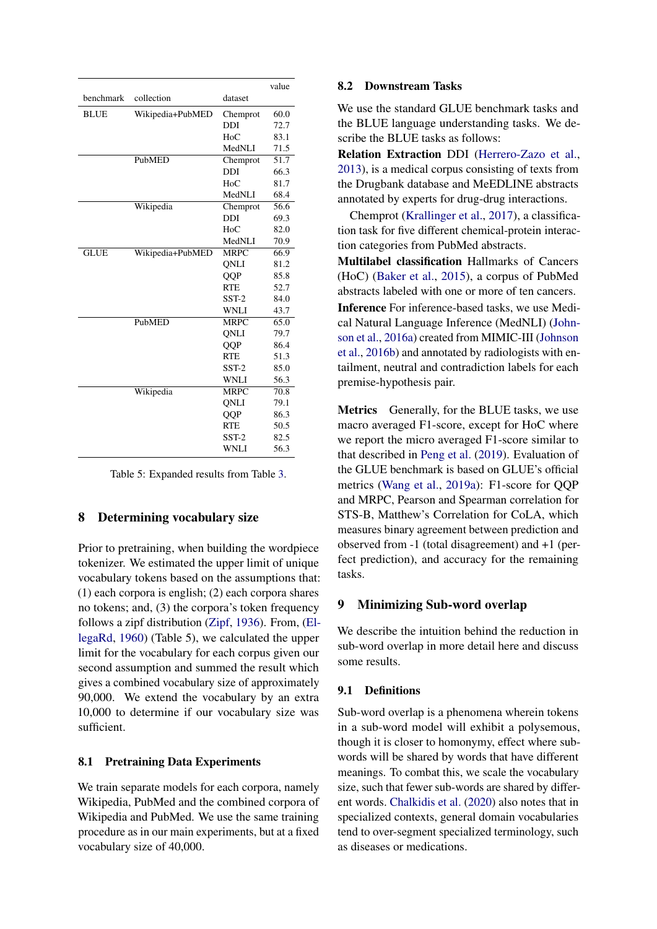<span id="page-7-1"></span>

|             |                  |             | value |
|-------------|------------------|-------------|-------|
| benchmark   | collection       | dataset     |       |
| <b>BLUE</b> | Wikipedia+PubMED | Chemprot    | 60.0  |
|             |                  | <b>DDI</b>  | 72.7  |
|             |                  | $H_0C$      | 83.1  |
|             |                  | MedNLI      | 71.5  |
|             | PubMED           | Chemprot    | 51.7  |
|             |                  | <b>DDI</b>  | 66.3  |
|             |                  | $H_0C$      | 81.7  |
|             |                  | MedNLI      | 68.4  |
|             | Wikipedia        | Chemprot    | 56.6  |
|             |                  | <b>DDI</b>  | 69.3  |
|             |                  | HoC         | 82.0  |
|             |                  | MedNLI      | 70.9  |
| <b>GLUE</b> | Wikipedia+PubMED | <b>MRPC</b> | 66.9  |
|             |                  | <b>ONLI</b> | 81.2  |
|             |                  | QQP         | 85.8  |
|             |                  | <b>RTE</b>  | 52.7  |
|             |                  | $SST-2$     | 84.0  |
|             |                  | <b>WNLI</b> | 43.7  |
|             | PubMED           | <b>MRPC</b> | 65.0  |
|             |                  | ONLI        | 79.7  |
|             |                  | QQP         | 86.4  |
|             |                  | <b>RTE</b>  | 51.3  |
|             |                  | $SST-2$     | 85.0  |
|             |                  | <b>WNLI</b> | 56.3  |
|             | Wikipedia        | <b>MRPC</b> | 70.8  |
|             |                  | ONLI        | 79.1  |
|             |                  | QQP         | 86.3  |
|             |                  | <b>RTE</b>  | 50.5  |
|             |                  | $SST-2$     | 82.5  |
|             |                  | WNLI        | 56.3  |

Table 5: Expanded results from Table [3.](#page-3-2)

# 8 Determining vocabulary size

Prior to pretraining, when building the wordpiece tokenizer. We estimated the upper limit of unique vocabulary tokens based on the assumptions that: (1) each corpora is english; (2) each corpora shares no tokens; and, (3) the corpora's token frequency follows a zipf distribution [\(Zipf,](#page-6-9) [1936\)](#page-6-9). From, [\(El](#page-5-15)[legaRd,](#page-5-15) [1960\)](#page-5-15) (Table 5), we calculated the upper limit for the vocabulary for each corpus given our second assumption and summed the result which gives a combined vocabulary size of approximately 90,000. We extend the vocabulary by an extra 10,000 to determine if our vocabulary size was sufficient.

# 8.1 Pretraining Data Experiments

We train separate models for each corpora, namely Wikipedia, PubMed and the combined corpora of Wikipedia and PubMed. We use the same training procedure as in our main experiments, but at a fixed vocabulary size of 40,000.

## 8.2 Downstream Tasks

We use the standard GLUE benchmark tasks and the BLUE language understanding tasks. We describe the BLUE tasks as follows:

Relation Extraction DDI [\(Herrero-Zazo et al.,](#page-5-16) [2013\)](#page-5-16), is a medical corpus consisting of texts from the Drugbank database and MeEDLINE abstracts annotated by experts for drug-drug interactions.

Chemprot [\(Krallinger et al.,](#page-5-17) [2017\)](#page-5-17), a classification task for five different chemical-protein interaction categories from PubMed abstracts.

Multilabel classification Hallmarks of Cancers (HoC) [\(Baker et al.,](#page-4-4) [2015\)](#page-4-4), a corpus of PubMed abstracts labeled with one or more of ten cancers.

Inference For inference-based tasks, we use Medical Natural Language Inference (MedNLI) [\(John](#page-5-18)[son et al.,](#page-5-18) [2016a\)](#page-5-18) created from MIMIC-III [\(Johnson](#page-5-19) [et al.,](#page-5-19) [2016b\)](#page-5-19) and annotated by radiologists with entailment, neutral and contradiction labels for each premise-hypothesis pair.

<span id="page-7-0"></span>Metrics Generally, for the BLUE tasks, we use macro averaged F1-score, except for HoC where we report the micro averaged F1-score similar to that described in [Peng et al.](#page-5-7) [\(2019\)](#page-5-7). Evaluation of the GLUE benchmark is based on GLUE's official metrics [\(Wang et al.,](#page-6-0) [2019a\)](#page-6-0): F1-score for QQP and MRPC, Pearson and Spearman correlation for STS-B, Matthew's Correlation for CoLA, which measures binary agreement between prediction and observed from -1 (total disagreement) and +1 (perfect prediction), and accuracy for the remaining tasks.

# 9 Minimizing Sub-word overlap

We describe the intuition behind the reduction in sub-word overlap in more detail here and discuss some results.

# 9.1 Definitions

Sub-word overlap is a phenomena wherein tokens in a sub-word model will exhibit a polysemous, though it is closer to homonymy, effect where subwords will be shared by words that have different meanings. To combat this, we scale the vocabulary size, such that fewer sub-words are shared by different words. [Chalkidis et al.](#page-4-2) [\(2020\)](#page-4-2) also notes that in specialized contexts, general domain vocabularies tend to over-segment specialized terminology, such as diseases or medications.